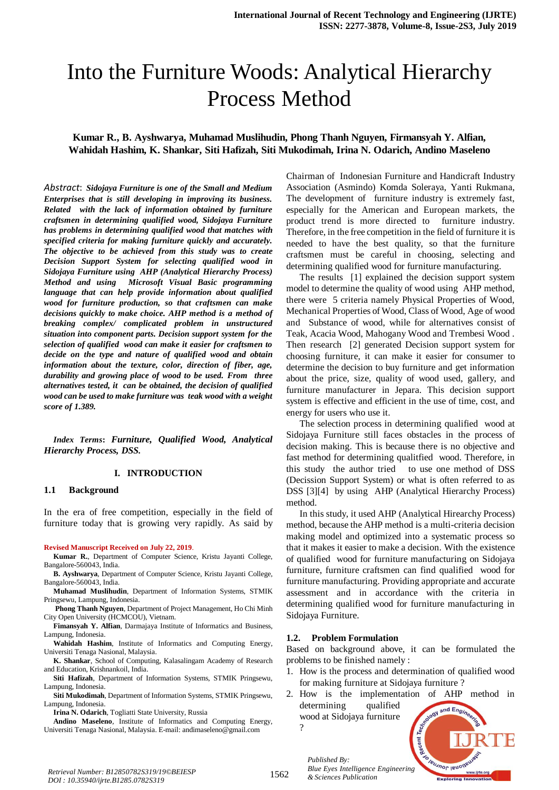# Into the Furniture Woods: Analytical Hierarchy Process Method

# **Kumar R., B. Ayshwarya, Muhamad Muslihudin, Phong Thanh Nguyen, Firmansyah Y. Alfian, Wahidah Hashim, K. Shankar, Siti Hafizah, Siti Mukodimah, Irina N. Odarich, Andino Maseleno**

*Abstract*: *Sidojaya Furniture is one of the Small and Medium Enterprises that is still developing in improving its business. Related with the lack of information obtained by furniture craftsmen in determining qualified wood, Sidojaya Furniture has problems in determining qualified wood that matches with specified criteria for making furniture quickly and accurately. The objective to be achieved from this study was to create Decision Support System for selecting qualified wood in Sidojaya Furniture using AHP (Analytical Hierarchy Process) Method and using Microsoft Visual Basic programming language that can help provide information about qualified wood for furniture production, so that craftsmen can make decisions quickly to make choice. AHP method is a method of breaking complex/ complicated problem in unstructured situation into component parts. Decision support system for the selection of qualified wood can make it easier for craftsmen to decide on the type and nature of qualified wood and obtain information about the texture, color, direction of fiber, age, durability and growing place of wood to be used. From three alternatives tested, it can be obtained, the decision of qualified wood can be used to make furniture was teak wood with a weight score of 1.389.*

*Index Terms***:** *Furniture, Qualified Wood, Analytical Hierarchy Process, DSS.* 

#### **I. INTRODUCTION**

#### **1.1 Background**

In the era of free competition, especially in the field of furniture today that is growing very rapidly. As said by

#### **Revised Manuscript Received on July 22, 2019**.

- **Kumar R.**, Department of Computer Science, Kristu Jayanti College, Bangalore-560043, India.
- **B. Ayshwarya**, Department of Computer Science, Kristu Jayanti College, Bangalore-560043, India.
- **Muhamad Muslihudin**, Department of Information Systems, STMIK Pringsewu, Lampung, Indonesia.
- **Phong Thanh Nguyen**, Department of Project Management, Ho Chi Minh City Open University (HCMCOU), Vietnam.
- **Fimansyah Y. Alfian**, Darmajaya Institute of Informatics and Business, Lampung, Indonesia.
- **Wahidah Hashim**, Institute of Informatics and Computing Energy, Universiti Tenaga Nasional, Malaysia.
- **K. Shankar**, School of Computing, Kalasalingam Academy of Research and Education, Krishnankoil, India.
- **Siti Hafizah**, Department of Information Systems, STMIK Pringsewu, Lampung, Indonesia.
- **Siti Mukodimah**, Department of Information Systems, STMIK Pringsewu, Lampung, Indonesia.
	- **Irina N. Odarich**, Togliatti State University, Russia

**Andino Maseleno**, Institute of Informatics and Computing Energy, Universiti Tenaga Nasional, Malaysia. E-mail: andimaseleno@gmail.com

Chairman of Indonesian Furniture and Handicraft Industry Association (Asmindo) Komda Soleraya, Yanti Rukmana, The development of furniture industry is extremely fast, especially for the American and European markets, the product trend is more directed to furniture industry. Therefore, in the free competition in the field of furniture it is needed to have the best quality, so that the furniture craftsmen must be careful in choosing, selecting and determining qualified wood for furniture manufacturing.

The results [1] explained the decision support system model to determine the quality of wood using AHP method, there were 5 criteria namely Physical Properties of Wood, Mechanical Properties of Wood, Class of Wood, Age of wood and Substance of wood, while for alternatives consist of Teak, Acacia Wood, Mahogany Wood and Trembesi Wood . Then research [2] generated Decision support system for choosing furniture, it can make it easier for consumer to determine the decision to buy furniture and get information about the price, size, quality of wood used, gallery, and furniture manufacturer in Jepara. This decision support system is effective and efficient in the use of time, cost, and energy for users who use it.

The selection process in determining qualified wood at Sidojaya Furniture still faces obstacles in the process of decision making. This is because there is no objective and fast method for determining qualitfied wood. Therefore, in this study the author tried to use one method of DSS (Decission Support System) or what is often referred to as DSS [3][4] by using AHP (Analytical Hierarchy Process) method.

In this study, it used AHP (Analytical Hirearchy Process) method, because the AHP method is a multi-criteria decision making model and optimized into a systematic process so that it makes it easier to make a decision. With the existence of qualified wood for furniture manufacturing on Sidojaya furniture, furniture craftsmen can find qualified wood for furniture manufacturing. Providing appropriate and accurate assessment and in accordance with the criteria in determining qualified wood for furniture manufacturing in Sidojaya Furniture.

#### **1.2. Problem Formulation**

*Published By:*

?

*& Sciences Publication* 

Based on background above, it can be formulated the problems to be finished namely :

- 1. How is the process and determination of qualified wood for making furniture at Sidojaya furniture ?
- 2. How is the implementation of AHP method in determining qualified and Engin wood at Sidojaya furniture

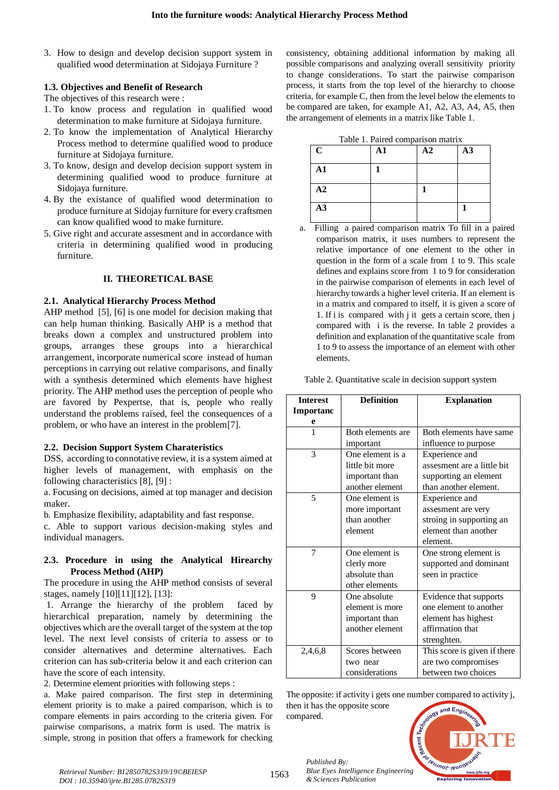3. How to design and develop decision support system in qualified wood determination at Sidojaya Furniture ?

## **1.3. Objectives and Benefit of Research**

The objectives of this research were :

- 1. To know process and regulation in qualified wood determination to make furniture at Sidojaya furniture.
- 2. To know the implementation of Analytical Hierarchy Process method to determine qualified wood to produce furniture at Sidojaya furniture.
- 3. To know, design and develop decision support system in determining qualified wood to produce furniture at Sidojaya furniture.
- 4. By the existance of qualified wood determination to produce furniture at Sidojay furniture for every craftsmen can know qualified wood to make furniture.
- 5. Give right and accurate assesment and in accordance with criteria in determining qualified wood in producing furniture.

#### **II. THEORETICAL BASE**

#### **2.1. Analytical Hierarchy Process Method**

AHP method [5], [6] is one model for decision making that can help human thinking. Basically AHP is a method that breaks down a complex and unstructured problem into groups, arranges these groups into a hierarchical arrangement, incorporate numerical score instead of human perceptions in carrying out relative comparisons, and finally with a synthesis determined which elements have highest priority. The AHP method uses the perception of people who are favored by Pexpertse, that is, people who really understand the problems raised, feel the consequences of a problem, or who have an interest in the problem[7].

#### **2.2. Decision Support System Charateristics**

DSS, according to connotative review, it is a system aimed at higher levels of management, with emphasis on the following characteristics [8], [9] :

a. Focusing on decisions, aimed at top manager and decision maker.

b. Emphasize flexibility, adaptability and fast response.

c. Able to support various decision-making styles and individual managers.

## **2.3. Procedure in using the Analytical Hirearchy Process Method (AHP)**

The procedure in using the AHP method consists of several stages, namely [10][11][12], [13]:

1. Arrange the hierarchy of the problem faced by hierarchical preparation, namely by determining the objectives which are the overall target of the system at the top level. The next level consists of criteria to assess or to consider alternatives and determine alternatives. Each criterion can has sub-criteria below it and each criterion can have the score of each intensity.

2. Determine element priorities with following steps :

a. Make paired comparison. The first step in determining element priority is to make a paired comparison, which is to compare elements in pairs according to the criteria given. For pairwise comparisons, a matrix form is used. The matrix is simple, strong in position that offers a framework for checking

consistency, obtaining additional information by making all possible comparisons and analyzing overall sensitivity priority to change considerations. To start the pairwise comparison process, it starts from the top level of the hierarchy to choose criteria, for example C, then from the level below the elements to be compared are taken, for example A1, A2, A3, A4, A5, then the arrangement of elements in a matrix like Table 1.

|  | Table 1. Paired comparison matrix |  |
|--|-----------------------------------|--|
|  |                                   |  |

| $\mathbf C$ | $\mathbf{A1}$ | A2 | A3 |
|-------------|---------------|----|----|
| ${\bf A1}$  |               |    |    |
| A2          |               |    |    |
| A3          |               |    |    |

a. Filling a paired comparison matrix To fill in a paired comparison matrix, it uses numbers to represent the relative importance of one element to the other in question in the form of a scale from 1 to 9. This scale defines and explains score from 1 to 9 for consideration in the pairwise comparison of elements in each level of hierarchy towards a higher level criteria. If an element is in a matrix and compared to itself, it is given a score of 1. If i is compared with j it gets a certain score, then j compared with i is the reverse. In table 2 provides a definition and explanation of the quantitative scale from 1 to 9 to assess the importance of an element with other elements.

|  | Table 2. Quantitative scale in decision support system |  |  |  |  |
|--|--------------------------------------------------------|--|--|--|--|
|--|--------------------------------------------------------|--|--|--|--|

| <b>Interest</b>  | <b>Definition</b> | <b>Explanation</b>           |
|------------------|-------------------|------------------------------|
| <b>Importanc</b> |                   |                              |
| e                |                   |                              |
| 1                | Both elements are | Both elements have same      |
|                  | important         | influence to purpose         |
| 3                | One element is a  | Experience and               |
|                  | little bit more   | assesment are a little bit   |
|                  | important than    | supporting an element        |
|                  | another element   | than another element.        |
| 5                | One element is    | Experience and               |
|                  | more important    | assesment are very           |
|                  | than another      | stroing in supporting an     |
|                  | element           | element than another         |
|                  |                   | element.                     |
| 7                | One element is    | One strong element is        |
|                  | clerly more       | supported and dominant       |
|                  | absolute than     | seen in practice             |
|                  | other elements    |                              |
| 9                | One absolute      | Evidence that supports       |
|                  | element is more   | one element to another       |
|                  | important than    | element has highest          |
|                  | another element   | affirmation that             |
|                  |                   | strenghten.                  |
| 2,4,6,8          | Scores between    | This score is given if there |
|                  | two near          | are two compromises          |
|                  | considerations    | between two choices          |

The opposite: if activity i gets one number compared to activity j, then it has the opposite score compared.



*Published By:*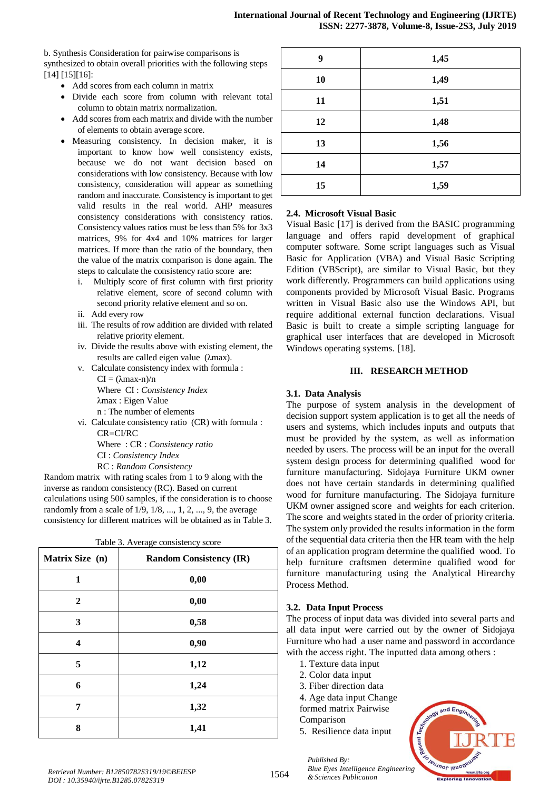b. Synthesis Consideration for pairwise comparisons is synthesized to obtain overall priorities with the following steps [14] [15][16]:

- Add scores from each column in matrix
- Divide each score from column with relevant total column to obtain matrix normalization.
- Add scores from each matrix and divide with the number of elements to obtain average score.
- Measuring consistency. In decision maker, it is important to know how well consistency exists, because we do not want decision based on considerations with low consistency. Because with low consistency, consideration will appear as something random and inaccurate. Consistency is important to get valid results in the real world. AHP measures consistency considerations with consistency ratios. Consistency values ratios must be less than 5% for 3x3 matrices, 9% for 4x4 and 10% matrices for larger matrices. If more than the ratio of the boundary, then the value of the matrix comparison is done again. The steps to calculate the consistency ratio score are:
	- i. Multiply score of first column with first priority relative element, score of second column with second priority relative element and so on.
	- ii. Add every row
	- iii. The results of row addition are divided with related relative priority element.
	- iv. Divide the results above with existing element, the results are called eigen value (λmax).
	- v. Calculate consistency index with formula :  $CI = (\lambda max-n)/n$ Where CI : *Consistency Index* λmax : Eigen Value

n : The number of elements

vi. Calculate consistency ratio (CR) with formula : CR=CI/RC Where : CR : *Consistency ratio* CI : *Consistency Index* RC : *Random Consistency*

Random matrix with rating scales from 1 to 9 along with the inverse as random consistency (RC). Based on current calculations using 500 samples, if the consideration is to choose randomly from a scale of 1/9, 1/8, ..., 1, 2, ..., 9, the average consistency for different matrices will be obtained as in Table 3.

| Table 3. Average consistency score |                                |  |  |  |  |  |
|------------------------------------|--------------------------------|--|--|--|--|--|
| Matrix Size (n)                    | <b>Random Consistency (IR)</b> |  |  |  |  |  |
| 1                                  | 0,00                           |  |  |  |  |  |
| $\overline{2}$                     | 0,00                           |  |  |  |  |  |
| 3                                  | 0,58                           |  |  |  |  |  |
| 4                                  | 0,90                           |  |  |  |  |  |
| 5                                  | 1,12                           |  |  |  |  |  |
| 6                                  | 1,24                           |  |  |  |  |  |
| 7                                  | 1,32                           |  |  |  |  |  |
| 8                                  | 1,41                           |  |  |  |  |  |

| 9  | 1,45 |
|----|------|
| 10 | 1,49 |
| 11 | 1,51 |
| 12 | 1,48 |
| 13 | 1,56 |
| 14 | 1,57 |
| 15 | 1,59 |

## **2.4. Microsoft Visual Basic**

Visual Basic [17] is derived from the BASIC programming language and offers rapid development of graphical computer software. Some script languages such as Visual Basic for Application (VBA) and Visual Basic Scripting Edition (VBScript), are similar to Visual Basic, but they work differently. Programmers can build applications using components provided by Microsoft Visual Basic. Programs written in Visual Basic also use the Windows API, but require additional external function declarations. Visual Basic is built to create a simple scripting language for graphical user interfaces that are developed in Microsoft Windows operating systems. [18].

## **III. RESEARCH METHOD**

## **3.1. Data Analysis**

The purpose of system analysis in the development of decision support system application is to get all the needs of users and systems, which includes inputs and outputs that must be provided by the system, as well as information needed by users. The process will be an input for the overall system design process for determining qualified wood for furniture manufacturing. Sidojaya Furniture UKM owner does not have certain standards in determining qualified wood for furniture manufacturing. The Sidojaya furniture UKM owner assigned score and weights for each criterion. The score and weights stated in the order of priority criteria. The system only provided the results information in the form of the sequential data criteria then the HR team with the help of an application program determine the qualified wood. To help furniture craftsmen determine qualified wood for furniture manufacturing using the Analytical Hirearchy Process Method.

## **3.2. Data Input Process**

The process of input data was divided into several parts and all data input were carried out by the owner of Sidojaya Furniture who had a user name and password in accordance with the access right. The inputted data among others :

- 1. Texture data input
- 2. Color data input
- 3. Fiber direction data
- 4. Age data input Change
- formed matrix Pairwise
- Comparison

*Published By:*

5. Resilience data input

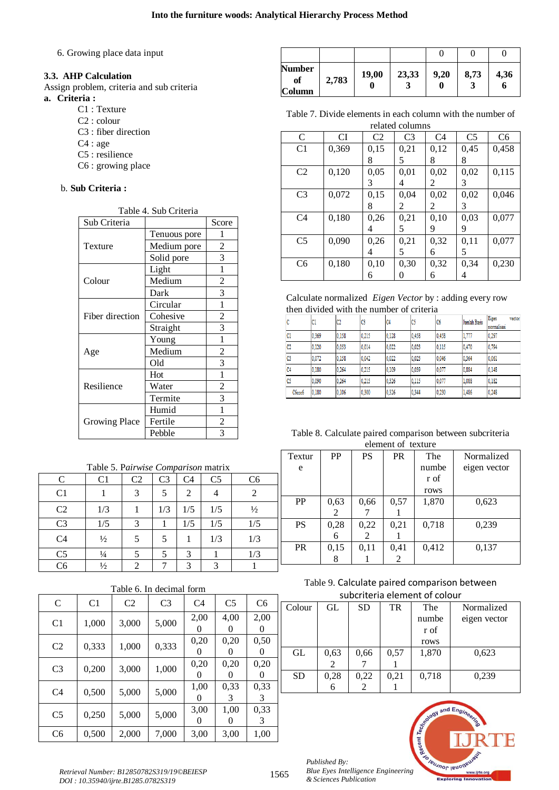6. Growing place data input

## **3.3. AHP Calculation**

Assign problem, criteria and sub criteria **a. Criteria :**

- C1 : Texture
- C2 : colour
- C3 : fiber direction
- C4 : age
- C5 : resilience
- C6 : growing place

## b. **Sub Criteria :**

| Table 4. Sub Criteria |              |                |  |  |  |  |
|-----------------------|--------------|----------------|--|--|--|--|
| Sub Criteria          |              | Score          |  |  |  |  |
|                       | Tenuous pore | 1              |  |  |  |  |
| Texture               | Medium pore  | 2              |  |  |  |  |
|                       | Solid pore   | 3              |  |  |  |  |
|                       | Light        | 1              |  |  |  |  |
| Colour                | Medium       | 2              |  |  |  |  |
|                       | Dark         | 3              |  |  |  |  |
|                       | Circular     | 1              |  |  |  |  |
| Fiber direction       | Cohesive     | $\overline{c}$ |  |  |  |  |
|                       | Straight     | 3              |  |  |  |  |
|                       | Young        | $\mathbf{1}$   |  |  |  |  |
| Age                   | Medium       | $\overline{c}$ |  |  |  |  |
|                       | Old          | 3              |  |  |  |  |
|                       | Hot          | 1              |  |  |  |  |
| Resilience            | Water        | $\overline{c}$ |  |  |  |  |
|                       | Termite      | 3              |  |  |  |  |
|                       | Humid        | 1              |  |  |  |  |
| <b>Growing Place</b>  | Fertile      | 2              |  |  |  |  |
|                       | Pebble       | 3              |  |  |  |  |

| Table 5. Pairwise Comparison matrix |                |                |                |                             |                |                |  |  |
|-------------------------------------|----------------|----------------|----------------|-----------------------------|----------------|----------------|--|--|
| C                                   | C <sub>1</sub> | C <sub>2</sub> | C <sub>3</sub> | C <sub>4</sub>              | C <sub>5</sub> | C <sub>6</sub> |  |  |
| C <sub>1</sub>                      |                | 3              | 5              | $\mathcal{D}_{\mathcal{L}}$ |                | 2              |  |  |
| C <sub>2</sub>                      | 1/3            |                | 1/3            | 1/5                         | 1/5            | $\frac{1}{2}$  |  |  |
| C <sub>3</sub>                      | 1/5            | 3              |                | 1/5                         | 1/5            | 1/5            |  |  |
| C <sub>4</sub>                      | $\frac{1}{2}$  | 5              | 5              |                             | 1/3            | 1/3            |  |  |
| C <sub>5</sub>                      | $\frac{1}{4}$  |                |                | 3                           |                | 1/3            |  |  |
| Cб                                  | $\frac{1}{2}$  | 2              |                | $\mathbf 3$                 | 2              |                |  |  |

## Table 6. In decimal form

| $\mathcal{C}$  | C <sub>1</sub> | C <sub>2</sub> | C <sub>3</sub> | C <sub>4</sub> | C <sub>5</sub>            | C <sub>6</sub> |
|----------------|----------------|----------------|----------------|----------------|---------------------------|----------------|
| C <sub>1</sub> | 1,000          | 3,000          | 5,000          | 2,00           | 4,00<br>$\mathbf{0}$      | 2,00           |
| C <sub>2</sub> | 0,333          | 1,000          | 0,333          | 0,20<br>0      | 0,20<br>$\mathbf{\Omega}$ | 0,50<br>0      |
| C <sub>3</sub> | 0,200          | 3,000          | 1,000          | 0,20           | 0,20                      | 0,20           |
| C <sub>4</sub> | 0,500          | 5,000          | 5,000          | 1,00<br>0      | 0,33<br>3                 | 0,33<br>3      |
| C <sub>5</sub> | 0,250          | 5,000          | 5,000          | 3,00<br>0      | 1,00<br>$\theta$          | 0,33<br>3      |
| C <sub>6</sub> | 0,500          | 2,000          | 7,000          | 3,00           | 3,00                      | 1,00           |

| <b>Number</b><br>of<br><b>Column</b> | 2,783 | 19,00 | 23,33 | 9,20 | 8,73 | 4,36 |
|--------------------------------------|-------|-------|-------|------|------|------|

Table 7. Divide elements in each column with the number of related columns

| TURRUM UURRIIID |       |      |                |                |                |                |  |
|-----------------|-------|------|----------------|----------------|----------------|----------------|--|
| C               | CI    | C2   | C <sub>3</sub> | C <sub>4</sub> | C <sub>5</sub> | C <sub>6</sub> |  |
| C <sub>1</sub>  | 0,369 | 0,15 | 0,21           | 0,12           | 0,45           | 0,458          |  |
|                 |       | 8    | 5              | 8              | 8              |                |  |
| C <sub>2</sub>  | 0,120 | 0,05 | 0,01           | 0,02           | 0,02           | 0,115          |  |
|                 |       | 3    | 4              | 2              | 3              |                |  |
| C <sub>3</sub>  | 0,072 | 0,15 | 0,04           | 0,02           | 0,02           | 0,046          |  |
|                 |       | 8    | 2              | 2              | 3              |                |  |
| C <sub>4</sub>  | 0,180 | 0,26 | 0,21           | 0,10           | 0,03           | 0,077          |  |
|                 |       | 4    | 5              | 9              | 9              |                |  |
| C <sub>5</sub>  | 0,090 | 0,26 | 0,21           | 0,32           | 0,11           | 0,077          |  |
|                 |       | 4    | 5              | 6              | 5              |                |  |
| C <sub>6</sub>  | 0,180 | 0,10 | 0,30           | 0,32           | 0,34           | 0,230          |  |
|                 |       | 6    |                | 6              |                |                |  |

Calculate normalized *Eigen Vector* by : adding every row then divided with the number of criteria

|                | C1    | C2    | C3    | lC4   | C5    | C <sub>6</sub> | Jumlah Baris | Eigen<br>vector<br>normalisasi |
|----------------|-------|-------|-------|-------|-------|----------------|--------------|--------------------------------|
| C1             | 0.369 | 0.158 | 0.215 | 0.128 | 0.458 | 0.458          | 1,777        | 0.297                          |
| C <sub>2</sub> | 0.120 | 0.053 | 0.014 | 0.022 | 0.023 | 0.115          | 0.470        | 0.794                          |
| C3             | 0.072 | 0.158 | 0.042 | 0.022 | 0.023 | 0.046          | 0.364        | 0.061                          |
| C <sub>4</sub> | 0.180 | 0.264 | 0.215 | 0.109 | 0.039 | 0.077          | 0.884        | 0.148                          |
| C5             | 0.090 | 0.264 | 0.215 | 0.326 | 0.115 | 0.077          | 1.088        | 0.182                          |
| C6ccc6         | 0.180 | 0.106 | 0.300 | 0.326 | 0.344 | 0.230          | 1.486        | 0.248                          |

#### Table 8. Calculate paired comparison between subcriteria element of texture

| Textur    | <b>PP</b> | PS   | <b>PR</b> | The   | Normalized   |
|-----------|-----------|------|-----------|-------|--------------|
| e         |           |      |           | numbe | eigen vector |
|           |           |      |           | r of  |              |
|           |           |      |           | rows  |              |
| PP        | 0,63      | 0,66 | 0,57      | 1,870 | 0,623        |
|           | 2         |      |           |       |              |
| <b>PS</b> | 0,28      | 0,22 | 0,21      | 0,718 | 0,239        |
|           | 6         | 2    |           |       |              |
| <b>PR</b> | 0,15      | 0,11 | 0,41      | 0,412 | 0,137        |
|           | 8         |      | 2         |       |              |

# Table 9. Calculate paired comparison between subcriteria element of colour

| Colour    | GL   | SD   | TR   | The   | Normalized   |  |  |  |  |
|-----------|------|------|------|-------|--------------|--|--|--|--|
|           |      |      |      | numbe | eigen vector |  |  |  |  |
|           |      |      |      | r of  |              |  |  |  |  |
|           |      |      |      | rows  |              |  |  |  |  |
| GL        | 0,63 | 0,66 | 0,57 | 1,870 | 0,623        |  |  |  |  |
|           |      |      |      |       |              |  |  |  |  |
| <b>SD</b> | 0,28 | 0,22 | 0,21 | 0,718 | 0,239        |  |  |  |  |
|           | 6    |      |      |       |              |  |  |  |  |



*Retrieval Number: B12850782S319/19©BEIESP DOI : 10.35940/ijrte.B1285.0782S319*

*Published By:*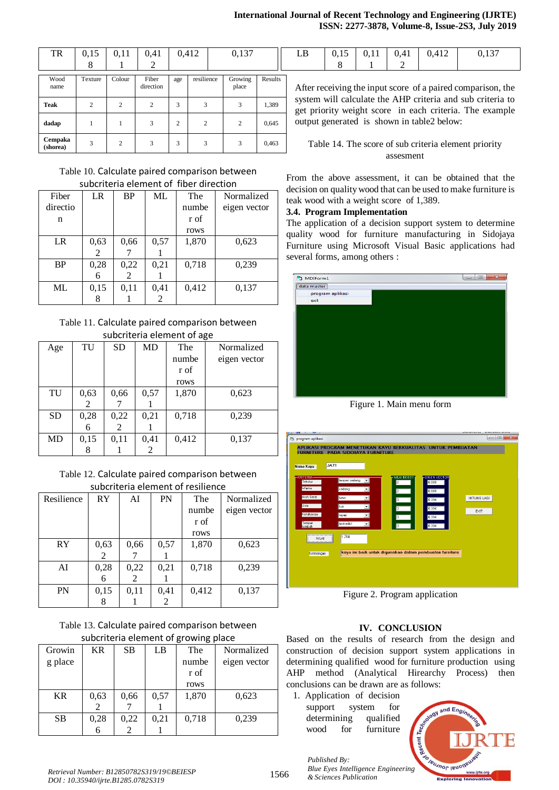| TR                  | 0.15    | 0.11   | 0.41               |     | 0.412      | 0,137            |         | LB                                                                                                                                                                                   | 0.15 | 0.11 | 0.41 | 0,412                                      | 0,137                                                |
|---------------------|---------|--------|--------------------|-----|------------|------------------|---------|--------------------------------------------------------------------------------------------------------------------------------------------------------------------------------------|------|------|------|--------------------------------------------|------------------------------------------------------|
|                     | 8       |        |                    |     |            |                  |         |                                                                                                                                                                                      | 8    |      |      |                                            |                                                      |
| Wood<br>name        | Texture | Colour | Fiber<br>direction | age | resilience | Growing<br>place | Results | After receiving the input score of a paired comparison, the<br>system will calculate the AHP criteria and sub criteria to<br>get priority weight score in each criteria. The example |      |      |      |                                            |                                                      |
| <b>Teak</b>         |         |        | $\mathcal{L}$      | 3   |            | 3                | 1,389   |                                                                                                                                                                                      |      |      |      |                                            |                                                      |
| dadap               |         |        |                    | 2   |            |                  | 0,645   |                                                                                                                                                                                      |      |      |      | output generated is shown in table2 below: |                                                      |
| Cempaka<br>(shorea) |         |        |                    | 3   |            | 3                | 0,463   |                                                                                                                                                                                      |      |      |      |                                            | Table 14. The score of sub criteria element priority |

## Table 10. Calculate paired comparison between subcriteria element of fiber direction

| Fiber     | LR   | <b>BP</b> | ML             | The   | Normalized   |
|-----------|------|-----------|----------------|-------|--------------|
| directio  |      |           |                | numbe | eigen vector |
| n         |      |           |                | r of  |              |
|           |      |           |                | rows  |              |
| LR        | 0,63 | 0,66      | 0,57           | 1,870 | 0,623        |
|           | 2    |           |                |       |              |
| <b>BP</b> | 0,28 | 0,22      | 0,21           | 0,718 | 0,239        |
|           | 6    | 2         |                |       |              |
| ML        | 0,15 | 0,11      | 0,41           | 0,412 | 0,137        |
|           |      |           | $\overline{2}$ |       |              |

## Table 11. Calculate paired comparison between subcriteria element of age

| Age | TU   | <b>SD</b> | MD   | The   | Normalized   |  |  |  |  |
|-----|------|-----------|------|-------|--------------|--|--|--|--|
|     |      |           |      | numbe | eigen vector |  |  |  |  |
|     |      |           |      | r of  |              |  |  |  |  |
|     |      |           |      | rows  |              |  |  |  |  |
| TU  | 0,63 | 0,66      | 0,57 | 1,870 | 0,623        |  |  |  |  |
|     | 2    |           |      |       |              |  |  |  |  |
| SD  | 0,28 | 0,22      | 0,21 | 0,718 | 0,239        |  |  |  |  |
|     | 6    | 2         |      |       |              |  |  |  |  |
| MD  | 0,15 | 0,11      | 0,41 | 0,412 | 0,137        |  |  |  |  |
|     | 8    |           | 2    |       |              |  |  |  |  |

Table 12. Calculate paired comparison between subcriteria element of resilience

| Resilience | <b>RY</b> | AI   | PN   | The   | Normalized   |
|------------|-----------|------|------|-------|--------------|
|            |           |      |      | numbe | eigen vector |
|            |           |      |      | r of  |              |
|            |           |      |      | rows  |              |
| RY         | 0,63      | 0,66 | 0,57 | 1,870 | 0,623        |
|            | 2         |      |      |       |              |
| AI         | 0,28      | 0,22 | 0,21 | 0,718 | 0,239        |
|            | 6         | 2    |      |       |              |
| <b>PN</b>  | 0,15      | 0,11 | 0,41 | 0,412 | 0,137        |
|            | 8         |      | 2    |       |              |

| Table 13. Calculate paired comparison between |
|-----------------------------------------------|
| subcriteria element of growing place          |

| <b>SUBDITIONAL CICINCITY OF STOWING PIACE</b> |           |           |      |       |              |  |  |  |
|-----------------------------------------------|-----------|-----------|------|-------|--------------|--|--|--|
| Growin                                        | <b>KR</b> | <b>SB</b> | LB   | The   | Normalized   |  |  |  |
| g place                                       |           |           |      | numbe | eigen vector |  |  |  |
|                                               |           |           |      | r of  |              |  |  |  |
|                                               |           |           |      | rows  |              |  |  |  |
| <b>KR</b>                                     | 0,63      | 0,66      | 0,57 | 1,870 | 0,623        |  |  |  |
|                                               | 2         |           |      |       |              |  |  |  |
| <b>SB</b>                                     | 0,28      | 0,22      | 0,21 | 0,718 | 0.239        |  |  |  |
|                                               | 6         |           |      |       |              |  |  |  |

## Table 14. The score of sub criteria element priority assesment

From the above assessment, it can be obtained that the decision on quality wood that can be used to make furniture is teak wood with a weight score of 1,389.

# **3.4. Program Implementation**

The application of a decision support system to determine quality wood for furniture manufacturing in Sidojaya Furniture using Microsoft Visual Basic applications had several forms, among others :



Figure 1. Main menu form



Figure 2. Program application

# **IV. CONCLUSION**

Based on the results of research from the design and construction of decision support system applications in determining qualified wood for furniture production using AHP method (Analytical Hirearchy Process) then conclusions can be drawn are as follows:

1. Application of decision support system for determining qualified wood for furniture



*Published By: Blue Eyes Intelligence Engineering & Sciences Publication* 

1566